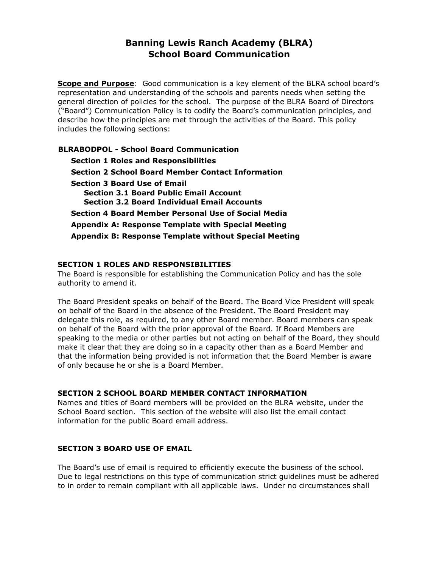# **Banning Lewis Ranch Academy (BLRA) School Board Communication**

**Scope and Purpose**: Good communication is a key element of the BLRA school board's representation and understanding of the schools and parents needs when setting the general direction of policies for the school. The purpose of the BLRA Board of Directors ("Board") Communication Policy is to codify the Board's communication principles, and describe how the principles are met through the activities of the Board. This policy includes the following sections:

**BLRABODPOL - School Board Communication Section 1 Roles and Responsibilities Section 2 School Board Member Contact Information Section 3 Board Use of Email Section 3.1 Board Public Email Account Section 3.2 Board Individual Email Accounts Section 4 Board Member Personal Use of Social Media Appendix A: Response Template with Special Meeting Appendix B: Response Template without Special Meeting** 

## **SECTION 1 ROLES AND RESPONSIBILITIES**

The Board is responsible for establishing the Communication Policy and has the sole authority to amend it.

The Board President speaks on behalf of the Board. The Board Vice President will speak on behalf of the Board in the absence of the President. The Board President may delegate this role, as required, to any other Board member. Board members can speak on behalf of the Board with the prior approval of the Board. If Board Members are speaking to the media or other parties but not acting on behalf of the Board, they should make it clear that they are doing so in a capacity other than as a Board Member and that the information being provided is not information that the Board Member is aware of only because he or she is a Board Member.

#### **SECTION 2 SCHOOL BOARD MEMBER CONTACT INFORMATION**

Names and titles of Board members will be provided on the BLRA website, under the School Board section. This section of the website will also list the email contact information for the public Board email address.

#### **SECTION 3 BOARD USE OF EMAIL**

The Board's use of email is required to efficiently execute the business of the school. Due to legal restrictions on this type of communication strict guidelines must be adhered to in order to remain compliant with all applicable laws. Under no circumstances shall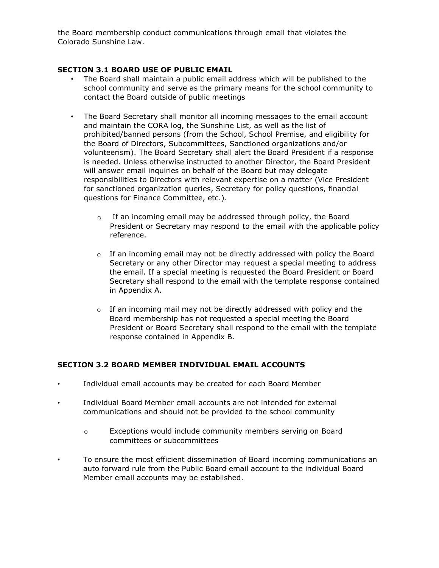the Board membership conduct communications through email that violates the Colorado Sunshine Law.

### **SECTION 3.1 BOARD USE OF PUBLIC EMAIL**

- The Board shall maintain a public email address which will be published to the school community and serve as the primary means for the school community to contact the Board outside of public meetings
- The Board Secretary shall monitor all incoming messages to the email account and maintain the CORA log, the Sunshine List, as well as the list of prohibited/banned persons (from the School, School Premise, and eligibility for the Board of Directors, Subcommittees, Sanctioned organizations and/or volunteerism). The Board Secretary shall alert the Board President if a response is needed. Unless otherwise instructed to another Director, the Board President will answer email inquiries on behalf of the Board but may delegate responsibilities to Directors with relevant expertise on a matter (Vice President for sanctioned organization queries, Secretary for policy questions, financial questions for Finance Committee, etc.).
	- o If an incoming email may be addressed through policy, the Board President or Secretary may respond to the email with the applicable policy reference.
	- $\circ$  If an incoming email may not be directly addressed with policy the Board Secretary or any other Director may request a special meeting to address the email. If a special meeting is requested the Board President or Board Secretary shall respond to the email with the template response contained in Appendix A.
	- $\circ$  If an incoming mail may not be directly addressed with policy and the Board membership has not requested a special meeting the Board President or Board Secretary shall respond to the email with the template response contained in Appendix B.

## **SECTION 3.2 BOARD MEMBER INDIVIDUAL EMAIL ACCOUNTS**

- Individual email accounts may be created for each Board Member
- Individual Board Member email accounts are not intended for external communications and should not be provided to the school community
	- o Exceptions would include community members serving on Board committees or subcommittees
- To ensure the most efficient dissemination of Board incoming communications an auto forward rule from the Public Board email account to the individual Board Member email accounts may be established.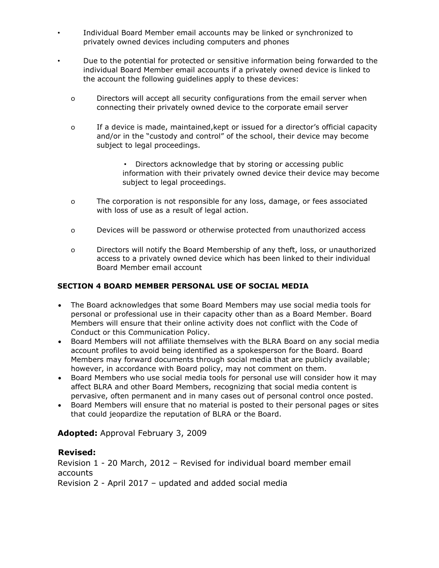- Individual Board Member email accounts may be linked or synchronized to privately owned devices including computers and phones
- Due to the potential for protected or sensitive information being forwarded to the individual Board Member email accounts if a privately owned device is linked to the account the following guidelines apply to these devices:
	- o Directors will accept all security configurations from the email server when connecting their privately owned device to the corporate email server
	- o If a device is made, maintained,kept or issued for a director's official capacity and/or in the "custody and control" of the school, their device may become subject to legal proceedings.
		- Directors acknowledge that by storing or accessing public information with their privately owned device their device may become subject to legal proceedings.
	- o The corporation is not responsible for any loss, damage, or fees associated with loss of use as a result of legal action.
	- o Devices will be password or otherwise protected from unauthorized access
	- o Directors will notify the Board Membership of any theft, loss, or unauthorized access to a privately owned device which has been linked to their individual Board Member email account

# **SECTION 4 BOARD MEMBER PERSONAL USE OF SOCIAL MEDIA**

- The Board acknowledges that some Board Members may use social media tools for personal or professional use in their capacity other than as a Board Member. Board Members will ensure that their online activity does not conflict with the Code of Conduct or this Communication Policy.
- Board Members will not affiliate themselves with the BLRA Board on any social media account profiles to avoid being identified as a spokesperson for the Board. Board Members may forward documents through social media that are publicly available; however, in accordance with Board policy, may not comment on them.
- Board Members who use social media tools for personal use will consider how it may affect BLRA and other Board Members, recognizing that social media content is pervasive, often permanent and in many cases out of personal control once posted.
- Board Members will ensure that no material is posted to their personal pages or sites that could jeopardize the reputation of BLRA or the Board.

# **Adopted:** Approval February 3, 2009

## **Revised:**

Revision 1 - 20 March, 2012 – Revised for individual board member email accounts

Revision 2 - April 2017 – updated and added social media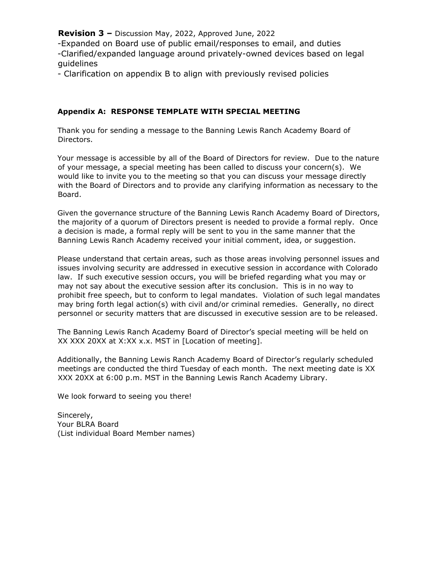**Revision 3 –** Discussion May, 2022, Approved June, 2022

-Expanded on Board use of public email/responses to email, and duties -Clarified/expanded language around privately-owned devices based on legal guidelines

- Clarification on appendix B to align with previously revised policies

### **Appendix A: RESPONSE TEMPLATE WITH SPECIAL MEETING**

Thank you for sending a message to the Banning Lewis Ranch Academy Board of Directors.

Your message is accessible by all of the Board of Directors for review. Due to the nature of your message, a special meeting has been called to discuss your concern(s). We would like to invite you to the meeting so that you can discuss your message directly with the Board of Directors and to provide any clarifying information as necessary to the Board.

Given the governance structure of the Banning Lewis Ranch Academy Board of Directors, the majority of a quorum of Directors present is needed to provide a formal reply. Once a decision is made, a formal reply will be sent to you in the same manner that the Banning Lewis Ranch Academy received your initial comment, idea, or suggestion.

Please understand that certain areas, such as those areas involving personnel issues and issues involving security are addressed in executive session in accordance with Colorado law. If such executive session occurs, you will be briefed regarding what you may or may not say about the executive session after its conclusion. This is in no way to prohibit free speech, but to conform to legal mandates. Violation of such legal mandates may bring forth legal action(s) with civil and/or criminal remedies. Generally, no direct personnel or security matters that are discussed in executive session are to be released.

The Banning Lewis Ranch Academy Board of Director's special meeting will be held on XX XXX 20XX at X:XX x.x. MST in [Location of meeting].

Additionally, the Banning Lewis Ranch Academy Board of Director's regularly scheduled meetings are conducted the third Tuesday of each month. The next meeting date is XX XXX 20XX at 6:00 p.m. MST in the Banning Lewis Ranch Academy Library.

We look forward to seeing you there!

Sincerely, Your BLRA Board (List individual Board Member names)